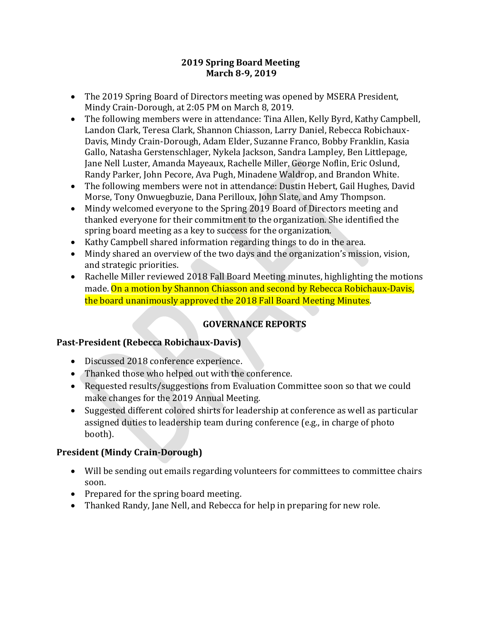### **2019 Spring Board Meeting March 8-9, 2019**

- The 2019 Spring Board of Directors meeting was opened by MSERA President, Mindy Crain-Dorough, at 2:05 PM on March 8, 2019.
- The following members were in attendance: Tina Allen, Kelly Byrd, Kathy Campbell, Landon Clark, Teresa Clark, Shannon Chiasson, Larry Daniel, Rebecca Robichaux-Davis, Mindy Crain-Dorough, Adam Elder, Suzanne Franco, Bobby Franklin, Kasia Gallo, Natasha Gerstenschlager, Nykela Jackson, Sandra Lampley, Ben Littlepage, Jane Nell Luster, Amanda Mayeaux, Rachelle Miller, George Noflin, Eric Oslund, Randy Parker, John Pecore, Ava Pugh, Minadene Waldrop, and Brandon White.
- The following members were not in attendance: Dustin Hebert, Gail Hughes, David Morse, Tony Onwuegbuzie, Dana Perilloux, John Slate, and Amy Thompson.
- Mindy welcomed everyone to the Spring 2019 Board of Directors meeting and thanked everyone for their commitment to the organization. She identified the spring board meeting as a key to success for the organization.
- Kathy Campbell shared information regarding things to do in the area.
- Mindy shared an overview of the two days and the organization's mission, vision, and strategic priorities.
- Rachelle Miller reviewed 2018 Fall Board Meeting minutes, highlighting the motions made. On a motion by Shannon Chiasson and second by Rebecca Robichaux-Davis, the board unanimously approved the 2018 Fall Board Meeting Minutes.

## **GOVERNANCE REPORTS**

### **Past-President (Rebecca Robichaux-Davis)**

- Discussed 2018 conference experience.
- Thanked those who helped out with the conference.
- Requested results/suggestions from Evaluation Committee soon so that we could make changes for the 2019 Annual Meeting.
- Suggested different colored shirts for leadership at conference as well as particular assigned duties to leadership team during conference (e.g., in charge of photo booth).

## **President (Mindy Crain-Dorough)**

- Will be sending out emails regarding volunteers for committees to committee chairs soon.
- Prepared for the spring board meeting.
- Thanked Randy, Jane Nell, and Rebecca for help in preparing for new role.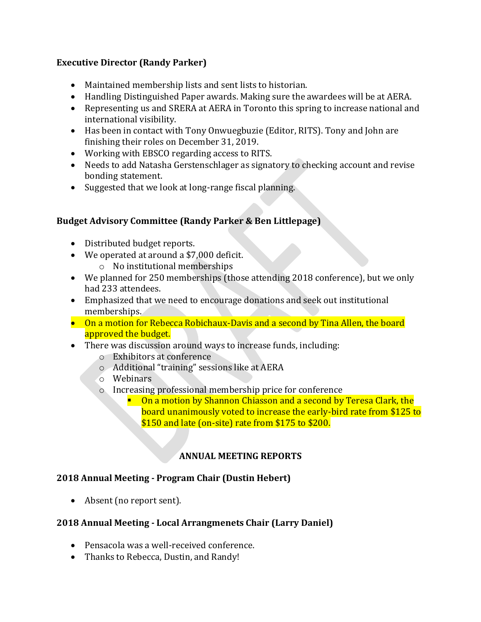### **Executive Director (Randy Parker)**

- Maintained membership lists and sent lists to historian.
- Handling Distinguished Paper awards. Making sure the awardees will be at AERA.
- Representing us and SRERA at AERA in Toronto this spring to increase national and international visibility.
- Has been in contact with Tony Onwuegbuzie (Editor, RITS). Tony and John are finishing their roles on December 31, 2019.
- Working with EBSCO regarding access to RITS.
- Needs to add Natasha Gerstenschlager as signatory to checking account and revise bonding statement.
- Suggested that we look at long-range fiscal planning.

### **Budget Advisory Committee (Randy Parker & Ben Littlepage)**

- Distributed budget reports.
- We operated at around a \$7,000 deficit.
	- o No institutional memberships
- We planned for 250 memberships (those attending 2018 conference), but we only had 233 attendees.
- Emphasized that we need to encourage donations and seek out institutional memberships.
- On a motion for Rebecca Robichaux-Davis and a second by Tina Allen, the board approved the budget.
- There was discussion around ways to increase funds, including:
	- o Exhibitors at conference
	- o Additional "training" sessions like at AERA
	- o Webinars
	- o Increasing professional membership price for conference
		- On a motion by Shannon Chiasson and a second by Teresa Clark, the board unanimously voted to increase the early-bird rate from \$125 to \$150 and late (on-site) rate from \$175 to \$200.

# **ANNUAL MEETING REPORTS**

### **2018 Annual Meeting - Program Chair (Dustin Hebert)**

• Absent (no report sent).

### **2018 Annual Meeting - Local Arrangmenets Chair (Larry Daniel)**

- Pensacola was a well-received conference.
- Thanks to Rebecca, Dustin, and Randy!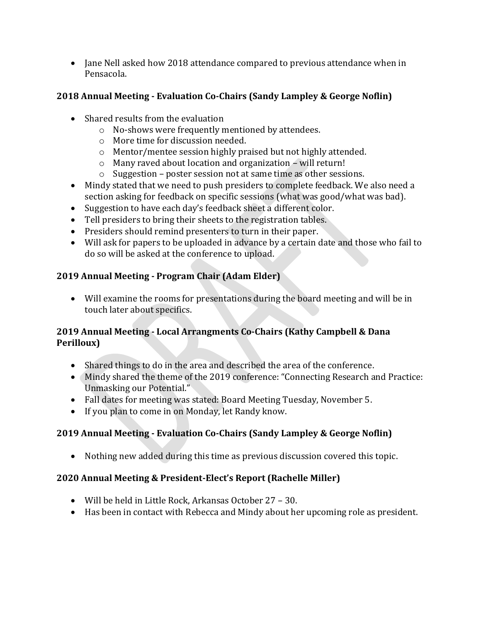• Jane Nell asked how 2018 attendance compared to previous attendance when in Pensacola.

## **2018 Annual Meeting - Evaluation Co-Chairs (Sandy Lampley & George Noflin)**

- Shared results from the evaluation
	- o No-shows were frequently mentioned by attendees.
	- o More time for discussion needed.
	- o Mentor/mentee session highly praised but not highly attended.
	- o Many raved about location and organization will return!
	- o Suggestion poster session not at same time as other sessions.
- Mindy stated that we need to push presiders to complete feedback. We also need a section asking for feedback on specific sessions (what was good/what was bad).
- Suggestion to have each day's feedback sheet a different color.
- Tell presiders to bring their sheets to the registration tables.
- Presiders should remind presenters to turn in their paper.
- Will ask for papers to be uploaded in advance by a certain date and those who fail to do so will be asked at the conference to upload.

## **2019 Annual Meeting - Program Chair (Adam Elder)**

• Will examine the rooms for presentations during the board meeting and will be in touch later about specifics.

### **2019 Annual Meeting - Local Arrangments Co-Chairs (Kathy Campbell & Dana Perilloux)**

- Shared things to do in the area and described the area of the conference.
- Mindy shared the theme of the 2019 conference: "Connecting Research and Practice: Unmasking our Potential."
- Fall dates for meeting was stated: Board Meeting Tuesday, November 5.
- If you plan to come in on Monday, let Randy know.

# **2019 Annual Meeting - Evaluation Co-Chairs (Sandy Lampley & George Noflin)**

• Nothing new added during this time as previous discussion covered this topic.

## **2020 Annual Meeting & President-Elect's Report (Rachelle Miller)**

- Will be held in Little Rock, Arkansas October 27 30.
- Has been in contact with Rebecca and Mindy about her upcoming role as president.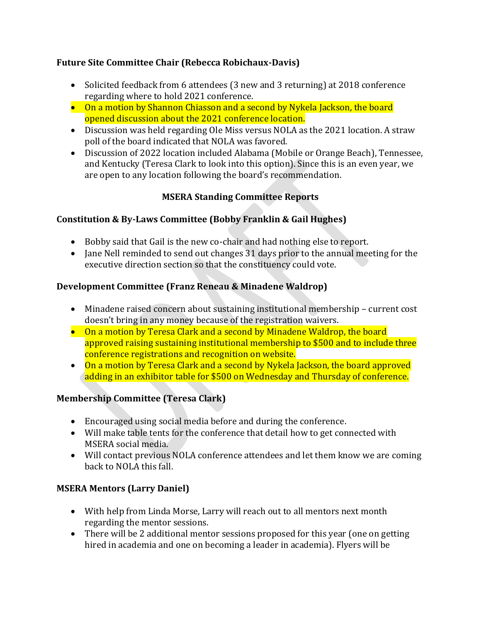### **Future Site Committee Chair (Rebecca Robichaux-Davis)**

- Solicited feedback from 6 attendees (3 new and 3 returning) at 2018 conference regarding where to hold 2021 conference.
- On a motion by Shannon Chiasson and a second by Nykela Jackson, the board opened discussion about the 2021 conference location.
- Discussion was held regarding Ole Miss versus NOLA as the 2021 location. A straw poll of the board indicated that NOLA was favored.
- Discussion of 2022 location included Alabama (Mobile or Orange Beach), Tennessee, and Kentucky (Teresa Clark to look into this option). Since this is an even year, we are open to any location following the board's recommendation.

## **MSERA Standing Committee Reports**

### **Constitution & By-Laws Committee (Bobby Franklin & Gail Hughes)**

- Bobby said that Gail is the new co-chair and had nothing else to report.
- Jane Nell reminded to send out changes 31 days prior to the annual meeting for the executive direction section so that the constituency could vote.

### **Development Committee (Franz Reneau & Minadene Waldrop)**

- Minadene raised concern about sustaining institutional membership current cost doesn't bring in any money because of the registration waivers.
- On a motion by Teresa Clark and a second by Minadene Waldrop, the board approved raising sustaining institutional membership to \$500 and to include three conference registrations and recognition on website.
- On a motion by Teresa Clark and a second by Nykela Jackson, the board approved adding in an exhibitor table for \$500 on Wednesday and Thursday of conference.

## **Membership Committee (Teresa Clark)**

- Encouraged using social media before and during the conference.
- Will make table tents for the conference that detail how to get connected with MSERA social media.
- Will contact previous NOLA conference attendees and let them know we are coming back to NOLA this fall.

## **MSERA Mentors (Larry Daniel)**

- With help from Linda Morse, Larry will reach out to all mentors next month regarding the mentor sessions.
- There will be 2 additional mentor sessions proposed for this year (one on getting hired in academia and one on becoming a leader in academia). Flyers will be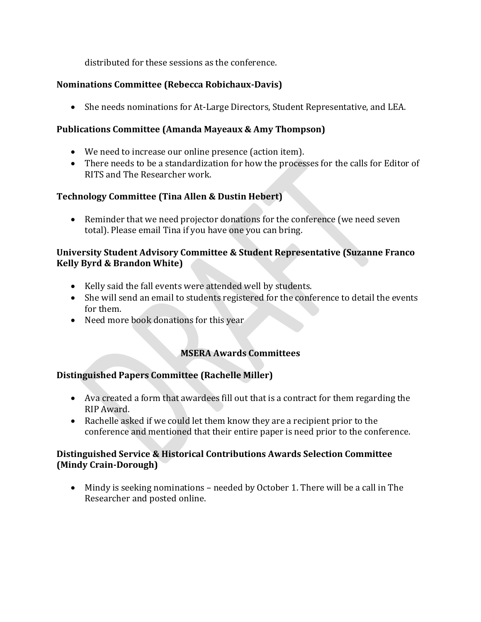distributed for these sessions as the conference.

### **Nominations Committee (Rebecca Robichaux-Davis)**

• She needs nominations for At-Large Directors, Student Representative, and LEA.

### **Publications Committee (Amanda Mayeaux & Amy Thompson)**

- We need to increase our online presence (action item).
- There needs to be a standardization for how the processes for the calls for Editor of RITS and The Researcher work.

## **Technology Committee (Tina Allen & Dustin Hebert)**

• Reminder that we need projector donations for the conference (we need seven total). Please email Tina if you have one you can bring.

### **University Student Advisory Committee & Student Representative (Suzanne Franco Kelly Byrd & Brandon White)**

- Kelly said the fall events were attended well by students.
- She will send an email to students registered for the conference to detail the events for them.
- Need more book donations for this year

## **MSERA Awards Committees**

## **Distinguished Papers Committee (Rachelle Miller)**

- Ava created a form that awardees fill out that is a contract for them regarding the RIP Award.
- Rachelle asked if we could let them know they are a recipient prior to the conference and mentioned that their entire paper is need prior to the conference.

### **Distinguished Service & Historical Contributions Awards Selection Committee (Mindy Crain-Dorough)**

• Mindy is seeking nominations – needed by October 1. There will be a call in The Researcher and posted online.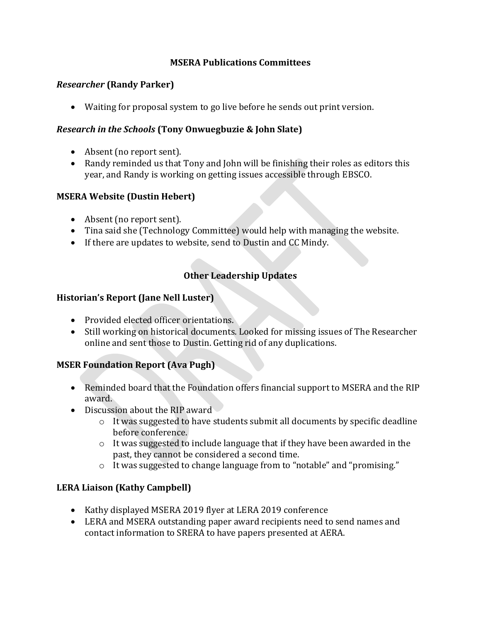### **MSERA Publications Committees**

#### *Researcher* **(Randy Parker)**

• Waiting for proposal system to go live before he sends out print version.

#### *Research in the Schools* **(Tony Onwuegbuzie & John Slate)**

- Absent (no report sent).
- Randy reminded us that Tony and John will be finishing their roles as editors this year, and Randy is working on getting issues accessible through EBSCO.

### **MSERA Website (Dustin Hebert)**

- Absent (no report sent).
- Tina said she (Technology Committee) would help with managing the website.
- If there are updates to website, send to Dustin and CC Mindy.

### **Other Leadership Updates**

#### **Historian's Report (Jane Nell Luster)**

- Provided elected officer orientations.
- Still working on historical documents. Looked for missing issues of The Researcher online and sent those to Dustin. Getting rid of any duplications.

### **MSER Foundation Report (Ava Pugh)**

- Reminded board that the Foundation offers financial support to MSERA and the RIP award.
- Discussion about the RIP award
	- o It was suggested to have students submit all documents by specific deadline before conference.
	- $\circ$  It was suggested to include language that if they have been awarded in the past, they cannot be considered a second time.
	- o It was suggested to change language from to "notable" and "promising."

### **LERA Liaison (Kathy Campbell)**

- Kathy displayed MSERA 2019 flyer at LERA 2019 conference
- LERA and MSERA outstanding paper award recipients need to send names and contact information to SRERA to have papers presented at AERA.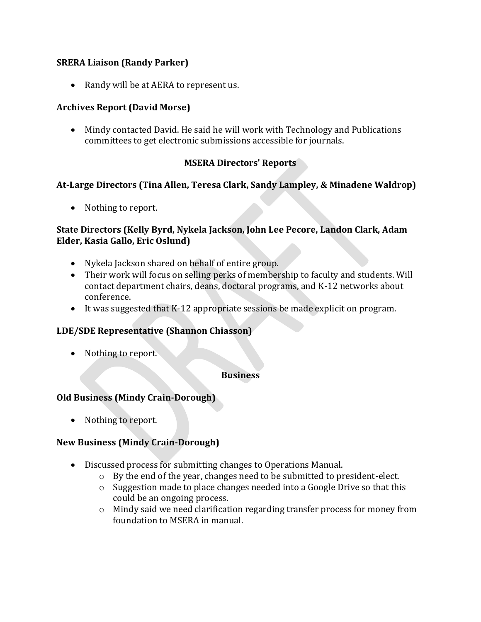#### **SRERA Liaison (Randy Parker)**

• Randy will be at AERA to represent us.

#### **Archives Report (David Morse)**

• Mindy contacted David. He said he will work with Technology and Publications committees to get electronic submissions accessible for journals.

#### **MSERA Directors' Reports**

#### **At-Large Directors (Tina Allen, Teresa Clark, Sandy Lampley, & Minadene Waldrop)**

• Nothing to report.

#### **State Directors (Kelly Byrd, Nykela Jackson, John Lee Pecore, Landon Clark, Adam Elder, Kasia Gallo, Eric Oslund)**

- Nykela Jackson shared on behalf of entire group.
- Their work will focus on selling perks of membership to faculty and students. Will contact department chairs, deans, doctoral programs, and K-12 networks about conference.
- It was suggested that K-12 appropriate sessions be made explicit on program.

#### **LDE/SDE Representative (Shannon Chiasson)**

• Nothing to report.

**Business**

### **Old Business (Mindy Crain-Dorough)**

• Nothing to report.

#### **New Business (Mindy Crain-Dorough)**

- Discussed process for submitting changes to Operations Manual.
	- o By the end of the year, changes need to be submitted to president-elect.
	- o Suggestion made to place changes needed into a Google Drive so that this could be an ongoing process.
	- o Mindy said we need clarification regarding transfer process for money from foundation to MSERA in manual.